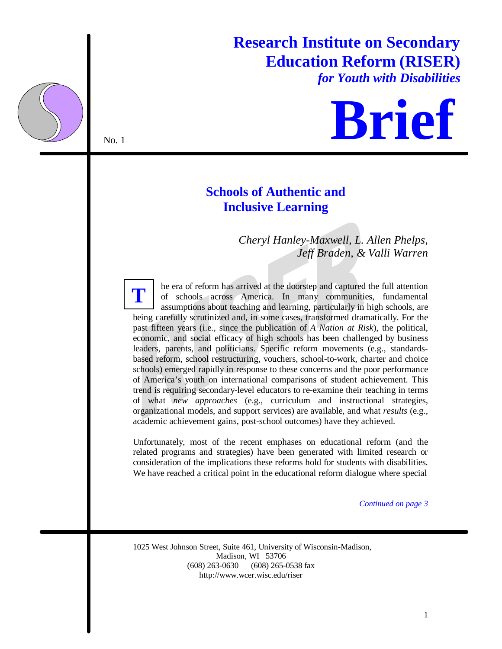# **Research Institute on Secondary Education Reform (RISER)**

*for Youth with Disabilities*



## **Schools of Authentic and Inclusive Learning**

*Cheryl Hanley-Maxwell, L. Allen Phelps, Jeff Braden, & Valli Warren*

he era of reform has arrived at the doorstep and captured the full attention of schools across America. In many communities, fundamental assumptions about teaching and learning, particularly in high schools, are being carefully scrutinized and, in some cases, transformed dramatically. For the past fifteen years (i.e., since the publication of *A Nation at Risk*), the political, economic, and social efficacy of high schools has been challenged by business leaders, parents, and politicians. Specific reform movements (e.g., standardsbased reform, school restructuring, vouchers, school-to-work, charter and choice schools) emerged rapidly in response to these concerns and the poor performance of America's youth on international comparisons of student achievement. This trend is requiring secondary-level educators to re-examine their teaching in terms of what *new approaches* (e.g., curriculum and instructional strategies, organizational models, and support services) are available, and what *results* (e.g., academic achievement gains, post-school outcomes) have they achieved. **T**

Unfortunately, most of the recent emphases on educational reform (and the related programs and strategies) have been generated with limited research or consideration of the implications these reforms hold for students with disabilities. We have reached a critical point in the educational reform dialogue where special

*Continued on page 3*

1025 West Johnson Street, Suite 461, University of Wisconsin-Madison, Madison, WI 53706 (608) 263-0630 (608) 265-0538 fax http://www.wcer.wisc.edu/riser

No. 1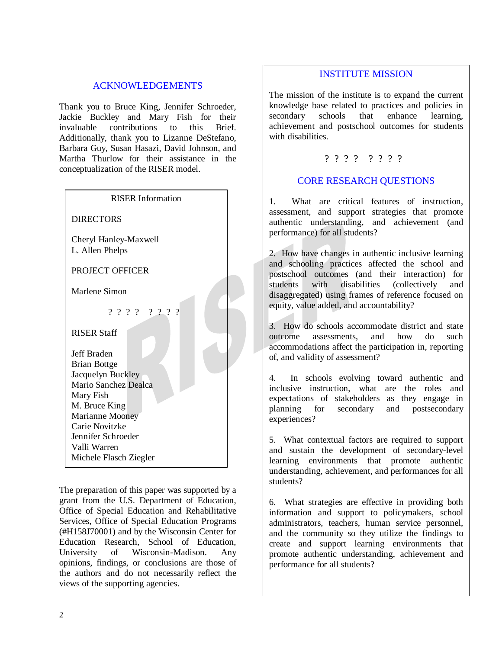### ACKNOWLEDGEMENTS

Thank you to Bruce King, Jennifer Schroeder, Jackie Buckley and Mary Fish for their invaluable contributions to this Brief. Additionally, thank you to Lizanne DeStefano, Barbara Guy, Susan Hasazi, David Johnson, and Martha Thurlow for their assistance in the conceptualization of the RISER model.

| <b>RISER</b> Information                                                                                                                                                                                                                        |
|-------------------------------------------------------------------------------------------------------------------------------------------------------------------------------------------------------------------------------------------------|
| <b>DIRECTORS</b>                                                                                                                                                                                                                                |
| Cheryl Hanley-Maxwell<br>L. Allen Phelps                                                                                                                                                                                                        |
| PROJECT OFFICER                                                                                                                                                                                                                                 |
| Marlene Simon                                                                                                                                                                                                                                   |
| ? ? ? ? ? ? ? ?                                                                                                                                                                                                                                 |
| <b>RISER Staff</b><br>Jeff Braden<br><b>Brian Bottge</b><br>Jacquelyn Buckley<br>Mario Sanchez Dealca<br>Mary Fish<br>M. Bruce King<br><b>Marianne Mooney</b><br>Carie Novitzke<br>Jennifer Schroeder<br>Valli Warren<br>Michele Flasch Ziegler |

The preparation of this paper was supported by a grant from the U.S. Department of Education, Office of Special Education and Rehabilitative Services, Office of Special Education Programs (#H158J70001) and by the Wisconsin Center for Education Research, School of Education, University of Wisconsin-Madison. Any opinions, findings, or conclusions are those of the authors and do not necessarily reflect the views of the supporting agencies.

#### INSTITUTE MISSION

The mission of the institute is to expand the current knowledge base related to practices and policies in secondary schools that enhance learning, achievement and postschool outcomes for students with disabilities.

#### ???? ????

### CORE RESEARCH QUESTIONS

1. What are critical features of instruction, assessment, and support strategies that promote authentic understanding, and achievement (and performance) for all students?

2. How have changes in authentic inclusive learning and schooling practices affected the school and postschool outcomes (and their interaction) for students with disabilities (collectively and disaggregated) using frames of reference focused on equity, value added, and accountability?

3. How do schools accommodate district and state outcome assessments, and how do such accommodations affect the participation in, reporting of, and validity of assessment?

4. In schools evolving toward authentic and inclusive instruction, what are the roles and expectations of stakeholders as they engage in planning for secondary and postsecondary experiences?

5. What contextual factors are required to support and sustain the development of secondary-level learning environments that promote authentic understanding, achievement, and performances for all students?

6. What strategies are effective in providing both information and support to policymakers, school administrators, teachers, human service personnel, and the community so they utilize the findings to create and support learning environments that promote authentic understanding, achievement and performance for all students?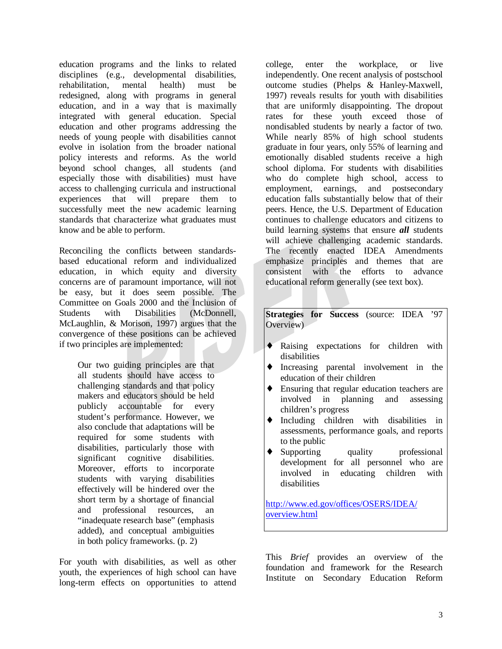education programs and the links to related disciplines (e.g., developmental disabilities, rehabilitation, mental health) must be redesigned, along with programs in general education, and in a way that is maximally integrated with general education. Special education and other programs addressing the needs of young people with disabilities cannot evolve in isolation from the broader national policy interests and reforms. As the world beyond school changes, all students (and especially those with disabilities) must have access to challenging curricula and instructional experiences that will prepare them to successfully meet the new academic learning standards that characterize what graduates must know and be able to perform.

Reconciling the conflicts between standardsbased educational reform and individualized education, in which equity and diversity concerns are of paramount importance, will not be easy, but it does seem possible. The Committee on Goals 2000 and the Inclusion of Students with Disabilities (McDonnell, McLaughlin, & Morison, 1997) argues that the convergence of these positions can be achieved if two principles are implemented:

Our two guiding principles are that all students should have access to challenging standards and that policy makers and educators should be held publicly accountable for every student's performance. However, we also conclude that adaptations will be required for some students with disabilities, particularly those with significant cognitive disabilities. Moreover, efforts to incorporate students with varying disabilities effectively will be hindered over the short term by a shortage of financial and professional resources, an "inadequate research base" (emphasis added), and conceptual ambiguities in both policy frameworks. (p. 2)

For youth with disabilities, as well as other youth, the experiences of high school can have long-term effects on opportunities to attend college, enter the workplace, or live independently. One recent analysis of postschool outcome studies (Phelps & Hanley-Maxwell, 1997) reveals results for youth with disabilities that are uniformly disappointing. The dropout rates for these youth exceed those of nondisabled students by nearly a factor of two. While nearly 85% of high school students graduate in four years, only 55% of learning and emotionally disabled students receive a high school diploma. For students with disabilities who do complete high school, access to employment, earnings, and postsecondary education falls substantially below that of their peers. Hence, the U.S. Department of Education continues to challenge educators and citizens to build learning systems that ensure *all* students will achieve challenging academic standards. The recently enacted IDEA Amendments emphasize principles and themes that are consistent with the efforts to advance educational reform generally (see text box).

**Strategies for Success** (source: IDEA '97 Overview)

- ♦ Raising expectations for children with disabilities
- ♦ Increasing parental involvement in the education of their children
- ♦ Ensuring that regular education teachers are involved in planning and assessing children's progress
- ♦ Including children with disabilities in assessments, performance goals, and reports to the public
- ♦ Supporting quality professional development for all personnel who are involved in educating children with disabilities

http://www.ed.gov/offices/OSERS/IDEA/ overview.html

This *Brief* provides an overview of the foundation and framework for the Research Institute on Secondary Education Reform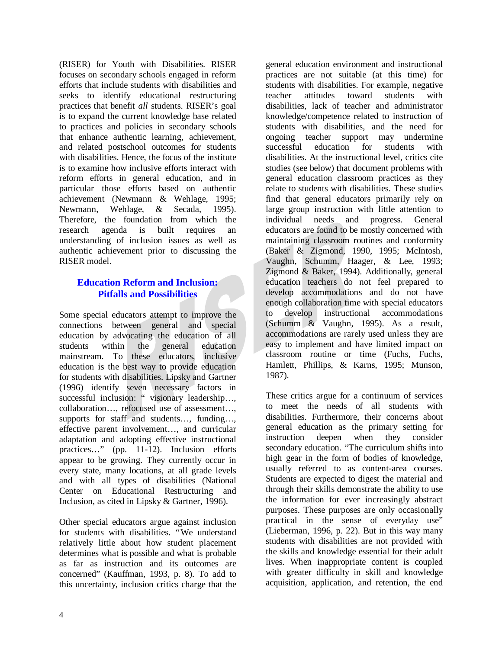(RISER) for Youth with Disabilities. RISER focuses on secondary schools engaged in reform efforts that include students with disabilities and seeks to identify educational restructuring practices that benefit *all* students. RISER's goal is to expand the current knowledge base related to practices and policies in secondary schools that enhance authentic learning, achievement, and related postschool outcomes for students with disabilities. Hence, the focus of the institute is to examine how inclusive efforts interact with reform efforts in general education, and in particular those efforts based on authentic achievement (Newmann & Wehlage, 1995; Newmann, Wehlage, & Secada, 1995). Therefore, the foundation from which the research agenda is built requires an understanding of inclusion issues as well as authentic achievement prior to discussing the RISER model.

## **Education Reform and Inclusion: Pitfalls and Possibilities**

Some special educators attempt to improve the connections between general and special education by advocating the education of all students within the general education mainstream. To these educators, inclusive education is the best way to provide education for students with disabilities. Lipsky and Gartner (1996) identify seven necessary factors in successful inclusion: " visionary leadership..., collaboration… , refocused use of assessment… , supports for staff and students..., funding..., effective parent involvement… , and curricular adaptation and adopting effective instructional practices..." (pp. 11-12). Inclusion efforts appear to be growing. They currently occur in every state, many locations, at all grade levels and with all types of disabilities (National Center on Educational Restructuring and Inclusion, as cited in Lipsky & Gartner, 1996).

Other special educators argue against inclusion for students with disabilities. "We understand relatively little about how student placement determines what is possible and what is probable as far as instruction and its outcomes are concerned" (Kauffman, 1993, p. 8). To add to this uncertainty, inclusion critics charge that the

general education environment and instructional practices are not suitable (at this time) for students with disabilities. For example, negative teacher attitudes toward students with disabilities, lack of teacher and administrator knowledge/competence related to instruction of students with disabilities, and the need for ongoing teacher support may undermine successful education for students with disabilities. At the instructional level, critics cite studies (see below) that document problems with general education classroom practices as they relate to students with disabilities. These studies find that general educators primarily rely on large group instruction with little attention to individual needs and progress. General educators are found to be mostly concerned with maintaining classroom routines and conformity (Baker & Zigmond, 1990, 1995; McIntosh, Vaughn, Schumm, Haager, & Lee, 1993; Zigmond & Baker, 1994). Additionally, general education teachers do not feel prepared to develop accommodations and do not have enough collaboration time with special educators to develop instructional accommodations (Schumm & Vaughn, 1995). As a result, accommodations are rarely used unless they are easy to implement and have limited impact on classroom routine or time (Fuchs, Fuchs, Hamlett, Phillips, & Karns, 1995; Munson, 1987).

These critics argue for a continuum of services to meet the needs of all students with disabilities. Furthermore, their concerns about general education as the primary setting for instruction deepen when they consider secondary education. "The curriculum shifts into high gear in the form of bodies of knowledge, usually referred to as content-area courses. Students are expected to digest the material and through their skills demonstrate the ability to use the information for ever increasingly abstract purposes. These purposes are only occasionally practical in the sense of everyday use" (Lieberman, 1996, p. 22). But in this way many students with disabilities are not provided with the skills and knowledge essential for their adult lives. When inappropriate content is coupled with greater difficulty in skill and knowledge acquisition, application, and retention, the end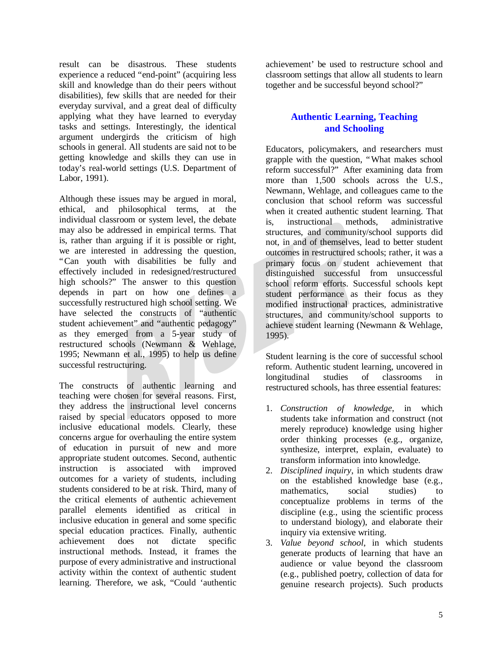result can be disastrous. These students experience a reduced "end-point" (acquiring less skill and knowledge than do their peers without disabilities), few skills that are needed for their everyday survival, and a great deal of difficulty applying what they have learned to everyday tasks and settings. Interestingly, the identical argument undergirds the criticism of high schools in general. All students are said not to be getting knowledge and skills they can use in today's real-world settings (U.S. Department of Labor, 1991).

Although these issues may be argued in moral, ethical, and philosophical terms, at the individual classroom or system level, the debate may also be addressed in empirical terms. That is, rather than arguing if it is possible or right, we are interested in addressing the question, "Can youth with disabilities be fully and effectively included in redesigned/restructured high schools?" The answer to this question depends in part on how one defines a successfully restructured high school setting. We have selected the constructs of "authentic student achievement" and "authentic pedagogy" as they emerged from a 5-year study of restructured schools (Newmann & Wehlage, 1995; Newmann et al., 1995) to help us define successful restructuring.

The constructs of authentic learning and teaching were chosen for several reasons. First, they address the instructional level concerns raised by special educators opposed to more inclusive educational models. Clearly, these concerns argue for overhauling the entire system of education in pursuit of new and more appropriate student outcomes. Second, authentic instruction is associated with improved outcomes for a variety of students, including students considered to be at risk. Third, many of the critical elements of authentic achievement parallel elements identified as critical in inclusive education in general and some specific special education practices. Finally, authentic achievement does not dictate specific instructional methods. Instead, it frames the purpose of every administrative and instructional activity within the context of authentic student learning. Therefore, we ask, "Could 'authentic

achievement' be used to restructure school and classroom settings that allow all students to learn together and be successful beyond school?"

## **Authentic Learning, Teaching and Schooling**

Educators, policymakers, and researchers must grapple with the question, "What makes school reform successful?" After examining data from more than 1,500 schools across the U.S., Newmann, Wehlage, and colleagues came to the conclusion that school reform was successful when it created authentic student learning. That is, instructional methods, administrative structures, and community/school supports did not, in and of themselves, lead to better student outcomes in restructured schools; rather, it was a primary focus on student achievement that distinguished successful from unsuccessful school reform efforts. Successful schools kept student performance as their focus as they modified instructional practices, administrative structures, and community/school supports to achieve student learning (Newmann & Wehlage, 1995).

Student learning is the core of successful school reform. Authentic student learning, uncovered in longitudinal studies of classrooms in restructured schools, has three essential features:

- 1. *Construction of knowledge*, in which students take information and construct (not merely reproduce) knowledge using higher order thinking processes (e.g., organize, synthesize, interpret, explain, evaluate) to transform information into knowledge.
- 2. *Disciplined inquiry*, in which students draw on the established knowledge base (e.g., mathematics, social studies) to conceptualize problems in terms of the discipline (e.g., using the scientific process to understand biology), and elaborate their inquiry via extensive writing.
- 3. *Value beyond school*, in which students generate products of learning that have an audience or value beyond the classroom (e.g., published poetry, collection of data for genuine research projects). Such products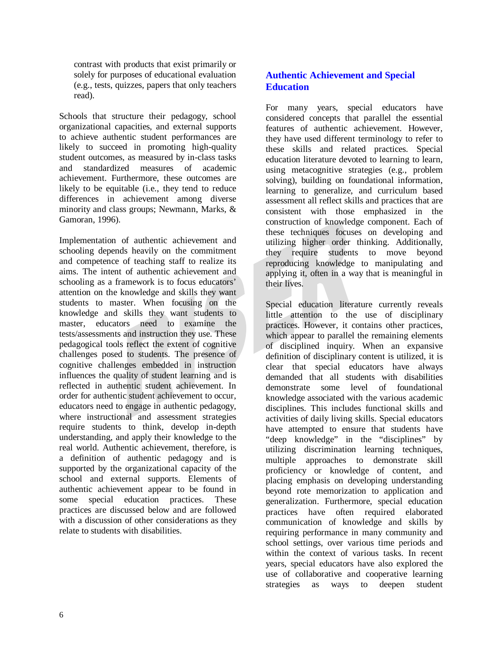contrast with products that exist primarily or solely for purposes of educational evaluation (e.g., tests, quizzes, papers that only teachers read).

Schools that structure their pedagogy, school organizational capacities, and external supports to achieve authentic student performances are likely to succeed in promoting high-quality student outcomes, as measured by in-class tasks and standardized measures of academic achievement. Furthermore, these outcomes are likely to be equitable (i.e., they tend to reduce differences in achievement among diverse minority and class groups; Newmann, Marks, & Gamoran, 1996).

Implementation of authentic achievement and schooling depends heavily on the commitment and competence of teaching staff to realize its aims. The intent of authentic achievement and schooling as a framework is to focus educators' attention on the knowledge and skills they want students to master. When focusing on the knowledge and skills they want students to master, educators need to examine the tests/assessments and instruction they use. These pedagogical tools reflect the extent of cognitive challenges posed to students. The presence of cognitive challenges embedded in instruction influences the quality of student learning and is reflected in authentic student achievement. In order for authentic student achievement to occur, educators need to engage in authentic pedagogy, where instructional and assessment strategies require students to think, develop in-depth understanding, and apply their knowledge to the real world. Authentic achievement, therefore, is a definition of authentic pedagogy and is supported by the organizational capacity of the school and external supports. Elements of authentic achievement appear to be found in some special education practices. These practices are discussed below and are followed with a discussion of other considerations as they relate to students with disabilities.

## **Authentic Achievement and Special Education**

For many years, special educators have considered concepts that parallel the essential features of authentic achievement. However, they have used different terminology to refer to these skills and related practices. Special education literature devoted to learning to learn, using metacognitive strategies (e.g., problem solving), building on foundational information, learning to generalize, and curriculum based assessment all reflect skills and practices that are consistent with those emphasized in the construction of knowledge component. Each of these techniques focuses on developing and utilizing higher order thinking. Additionally, they require students to move beyond reproducing knowledge to manipulating and applying it, often in a way that is meaningful in their lives.

Special education literature currently reveals little attention to the use of disciplinary practices. However, it contains other practices, which appear to parallel the remaining elements of disciplined inquiry. When an expansive definition of disciplinary content is utilized, it is clear that special educators have always demanded that all students with disabilities demonstrate some level of foundational knowledge associated with the various academic disciplines. This includes functional skills and activities of daily living skills. Special educators have attempted to ensure that students have "deep knowledge" in the "disciplines" by utilizing discrimination learning techniques, multiple approaches to demonstrate skill proficiency or knowledge of content, and placing emphasis on developing understanding beyond rote memorization to application and generalization. Furthermore, special education practices have often required elaborated communication of knowledge and skills by requiring performance in many community and school settings, over various time periods and within the context of various tasks. In recent years, special educators have also explored the use of collaborative and cooperative learning strategies as ways to deepen student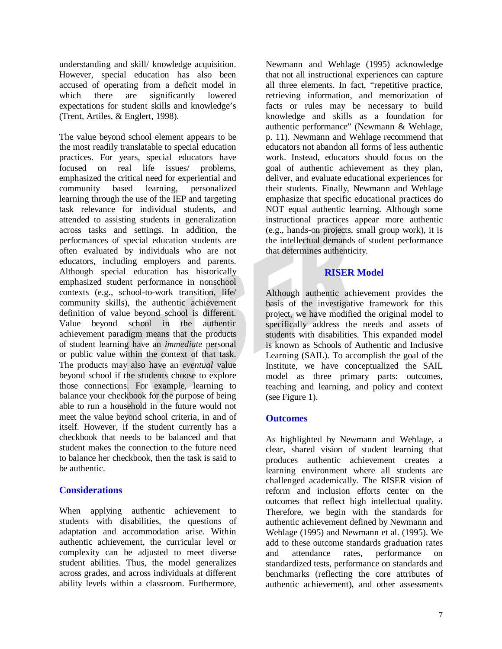understanding and skill/ knowledge acquisition. However, special education has also been accused of operating from a deficit model in which there are significantly lowered expectations for student skills and knowledge's (Trent, Artiles, & Englert, 1998).

The value beyond school element appears to be the most readily translatable to special education practices. For years, special educators have focused on real life issues/ problems, emphasized the critical need for experiential and community based learning, personalized learning through the use of the IEP and targeting task relevance for individual students, and attended to assisting students in generalization across tasks and settings. In addition, the performances of special education students are often evaluated by individuals who are not educators, including employers and parents. Although special education has historically emphasized student performance in nonschool contexts (e.g., school-to-work transition, life/ community skills), the authentic achievement definition of value beyond school is different. Value beyond school in the authentic achievement paradigm means that the products of student learning have an *immediate* personal or public value within the context of that task. The products may also have an *eventual* value beyond school if the students choose to explore those connections. For example, learning to balance your checkbook for the purpose of being able to run a household in the future would not meet the value beyond school criteria, in and of itself. However, if the student currently has a checkbook that needs to be balanced and that student makes the connection to the future need to balance her checkbook, then the task is said to be authentic.

## **Considerations**

When applying authentic achievement to students with disabilities, the questions of adaptation and accommodation arise. Within authentic achievement, the curricular level or complexity can be adjusted to meet diverse student abilities. Thus, the model generalizes across grades, and across individuals at different ability levels within a classroom. Furthermore, Newmann and Wehlage (1995) acknowledge that not all instructional experiences can capture all three elements. In fact, "repetitive practice, retrieving information, and memorization of facts or rules may be necessary to build knowledge and skills as a foundation for authentic performance" (Newmann & Wehlage, p. 11). Newmann and Wehlage recommend that educators not abandon all forms of less authentic work. Instead, educators should focus on the goal of authentic achievement as they plan, deliver, and evaluate educational experiences for their students. Finally, Newmann and Wehlage emphasize that specific educational practices do NOT equal authentic learning. Although some instructional practices appear more authentic (e.g., hands-on projects, small group work), it is the intellectual demands of student performance that determines authenticity.

## **RISER Model**

Although authentic achievement provides the basis of the investigative framework for this project, we have modified the original model to specifically address the needs and assets of students with disabilities. This expanded model is known as Schools of Authentic and Inclusive Learning (SAIL). To accomplish the goal of the Institute, we have conceptualized the SAIL model as three primary parts: outcomes, teaching and learning, and policy and context (see Figure 1).

## **Outcomes**

As highlighted by Newmann and Wehlage, a clear, shared vision of student learning that produces authentic achievement creates a learning environment where all students are challenged academically. The RISER vision of reform and inclusion efforts center on the outcomes that reflect high intellectual quality. Therefore, we begin with the standards for authentic achievement defined by Newmann and Wehlage (1995) and Newmann et al. (1995). We add to these outcome standards graduation rates and attendance rates, performance on standardized tests, performance on standards and benchmarks (reflecting the core attributes of authentic achievement), and other assessments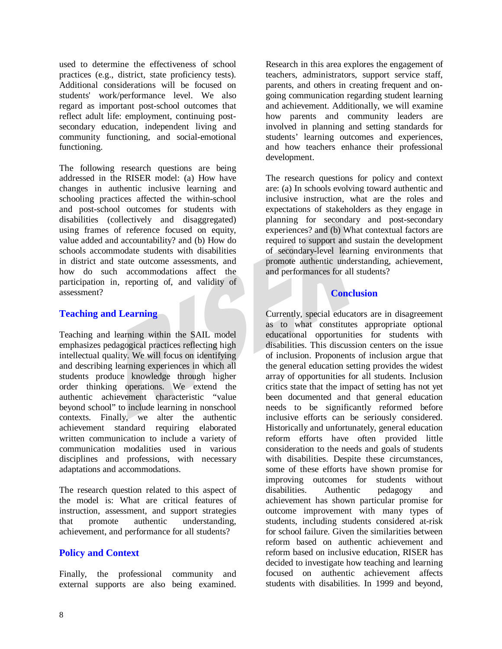used to determine the effectiveness of school practices (e.g., district, state proficiency tests). Additional considerations will be focused on students' work/performance level. We also regard as important post-school outcomes that reflect adult life: employment, continuing postsecondary education, independent living and community functioning, and social-emotional functioning.

The following research questions are being addressed in the RISER model: (a) How have changes in authentic inclusive learning and schooling practices affected the within-school and post-school outcomes for students with disabilities (collectively and disaggregated) using frames of reference focused on equity, value added and accountability? and (b) How do schools accommodate students with disabilities in district and state outcome assessments, and how do such accommodations affect the participation in, reporting of, and validity of assessment?

### **Teaching and Learning**

Teaching and learning within the SAIL model emphasizes pedagogical practices reflecting high intellectual quality. We will focus on identifying and describing learning experiences in which all students produce knowledge through higher order thinking operations. We extend the authentic achievement characteristic "value beyond school" to include learning in nonschool contexts. Finally, we alter the authentic achievement standard requiring elaborated written communication to include a variety of communication modalities used in various disciplines and professions, with necessary adaptations and accommodations.

The research question related to this aspect of the model is: What are critical features of instruction, assessment, and support strategies that promote authentic understanding, achievement, and performance for all students?

### **Policy and Context**

Finally, the professional community and external supports are also being examined.

Research in this area explores the engagement of teachers, administrators, support service staff, parents, and others in creating frequent and ongoing communication regarding student learning and achievement. Additionally, we will examine how parents and community leaders are involved in planning and setting standards for students' learning outcomes and experiences, and how teachers enhance their professional development.

The research questions for policy and context are: (a) In schools evolving toward authentic and inclusive instruction, what are the roles and expectations of stakeholders as they engage in planning for secondary and post-secondary experiences? and (b) What contextual factors are required to support and sustain the development of secondary-level learning environments that promote authentic understanding, achievement, and performances for all students?

## **Conclusion**

Currently, special educators are in disagreement as to what constitutes appropriate optional educational opportunities for students with disabilities. This discussion centers on the issue of inclusion. Proponents of inclusion argue that the general education setting provides the widest array of opportunities for all students. Inclusion critics state that the impact of setting has not yet been documented and that general education needs to be significantly reformed before inclusive efforts can be seriously considered. Historically and unfortunately, general education reform efforts have often provided little consideration to the needs and goals of students with disabilities. Despite these circumstances, some of these efforts have shown promise for improving outcomes for students without disabilities. Authentic pedagogy and achievement has shown particular promise for outcome improvement with many types of students, including students considered at-risk for school failure. Given the similarities between reform based on authentic achievement and reform based on inclusive education, RISER has decided to investigate how teaching and learning focused on authentic achievement affects students with disabilities. In 1999 and beyond,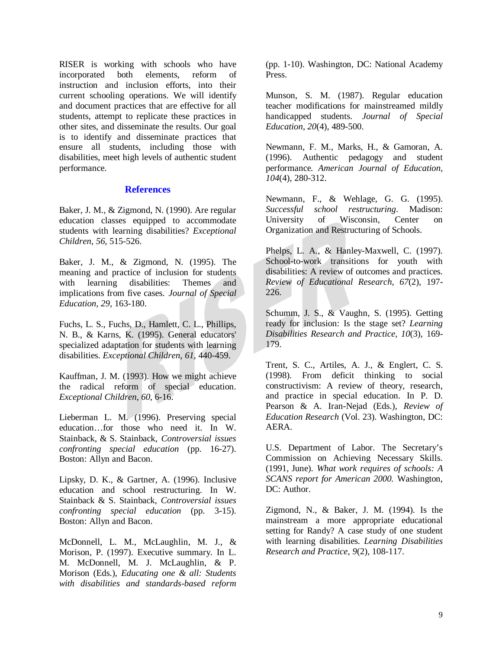RISER is working with schools who have incorporated both elements, reform of instruction and inclusion efforts, into their current schooling operations. We will identify and document practices that are effective for all students, attempt to replicate these practices in other sites, and disseminate the results. Our goal is to identify and disseminate practices that ensure all students, including those with disabilities, meet high levels of authentic student performance.

#### **References**

Baker, J. M., & Zigmond, N. (1990). Are regular education classes equipped to accommodate students with learning disabilities? *Exceptional Children, 56*, 515-526.

Baker, J. M., & Zigmond, N. (1995). The meaning and practice of inclusion for students with learning disabilities: Themes and implications from five cases. *Journal of Special Education, 29*, 163-180.

Fuchs, L. S., Fuchs, D., Hamlett, C. L., Phillips, N. B., & Karns, K. (1995). General educators' specialized adaptation for students with learning disabilities. *Exceptional Children*, *61*, 440-459.

Kauffman, J. M. (1993). How we might achieve the radical reform of special education. *Exceptional Children*, *60*, 6-16.

Lieberman L. M. (1996). Preserving special education… for those who need it. In W. Stainback, & S. Stainback, *Controversial issues confronting special education* (pp. 16-27). Boston: Allyn and Bacon.

Lipsky, D. K., & Gartner, A. (1996). Inclusive education and school restructuring. In W. Stainback & S. Stainback, *Controversial issues confronting special education* (pp. 3-15). Boston: Allyn and Bacon.

McDonnell, L. M., McLaughlin, M. J., & Morison, P. (1997). Executive summary. In L. M. McDonnell, M. J. McLaughlin, & P. Morison (Eds.), *Educating one & all: Students with disabilities and standards-based reform*

(pp. 1-10). Washington, DC: National Academy Press.

Munson, S. M. (1987). Regular education teacher modifications for mainstreamed mildly handicapped students. *Journal of Special Education*, *20*(4), 489-500.

Newmann, F. M., Marks, H., & Gamoran, A. (1996). Authentic pedagogy and student performance*. American Journal of Education, 104*(4), 280-312.

Newmann, F., & Wehlage, G. G. (1995). *Successful school restructuring*. Madison: University of Wisconsin, Center on Organization and Restructuring of Schools.

Phelps, L. A., & Hanley-Maxwell, C. (1997). School-to-work transitions for youth with disabilities: A review of outcomes and practices. *Review of Educational Research, 67*(2), 197- 226.

Schumm, J. S., & Vaughn, S. (1995). Getting ready for inclusion: Is the stage set? *Learning Disabilities Research and Practice, 10*(3), 169- 179.

Trent, S. C., Artiles, A. J., & Englert, C. S. (1998). From deficit thinking to social constructivism: A review of theory, research, and practice in special education. In P. D. Pearson & A. Iran-Nejad (Eds.), *Review of Education Research* (Vol. 23). Washington, DC: AERA.

U.S. Department of Labor. The Secretary's Commission on Achieving Necessary Skills. (1991, June). *What work requires of schools: A SCANS report for American 2000.* Washington, DC: Author.

Zigmond, N., & Baker, J. M. (1994). Is the mainstream a more appropriate educational setting for Randy? A case study of one student with learning disabilities. *Learning Disabilities Research and Practice*, *9*(2), 108-117.